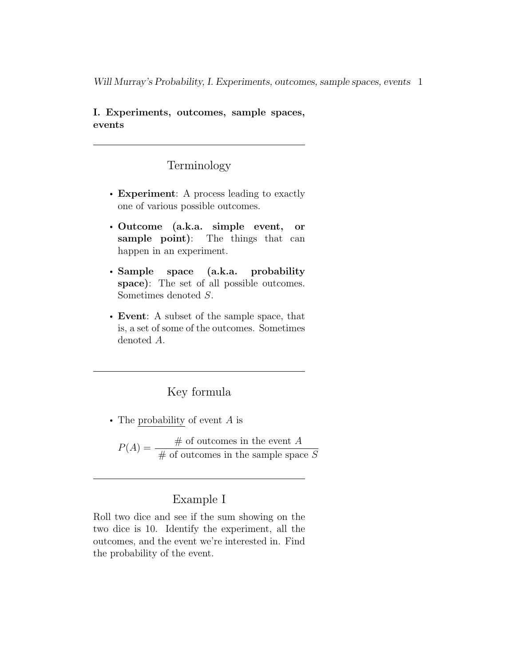I. Experiments, outcomes, sample spaces, events

## Terminology

- Experiment: A process leading to exactly one of various possible outcomes.
- Outcome (a.k.a. simple event, or sample point): The things that can happen in an experiment.
- Sample space (a.k.a. probability space): The set of all possible outcomes. Sometimes denoted S.
- Event: A subset of the sample space, that is, a set of some of the outcomes. Sometimes denoted A.

## Key formula

• The probability of event  $A$  is

 $P(A) = \frac{\text{# of outcomes in the event } A}{\text{# of outcomes in the event } A}$  $#$  of outcomes in the sample space S

#### Example I

Roll two dice and see if the sum showing on the two dice is 10. Identify the experiment, all the outcomes, and the event we're interested in. Find the probability of the event.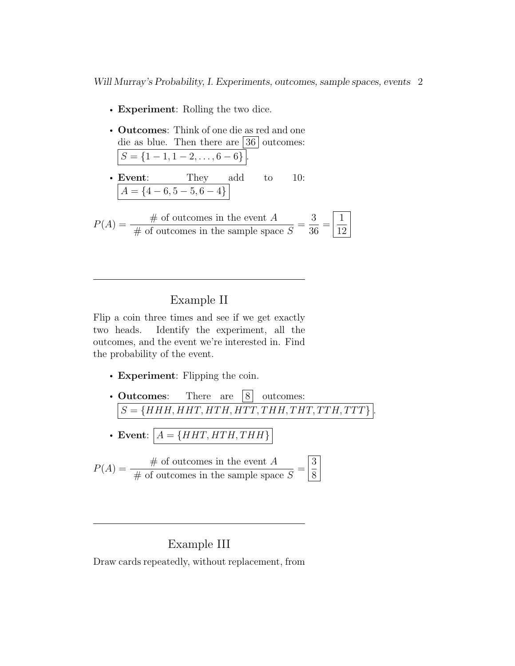- **Experiment**: Rolling the two dice.
- Outcomes: Think of one die as red and one die as blue. Then there are  $\boxed{36}$  outcomes:  $S = \{1 - 1, 1 - 2, \ldots, 6 - 6\}.$
- **Event**: They add to 10:  $A = \{4 - 6, 5 - 5, 6 - 4\}$

$$
P(A) = \frac{\text{\# of outcomes in the event } A}{\text{\# of outcomes in the sample space } S} = \frac{3}{36} = \boxed{\frac{1}{12}}
$$

#### Example II

Flip a coin three times and see if we get exactly two heads. Identify the experiment, all the outcomes, and the event we're interested in. Find the probability of the event.

- Experiment: Flipping the coin.
- Outcomes: There are  $|8|$  outcomes:  $S = \{HHH, HHT, HTH, HTT, THH, THT, TTH, TTT\}$
- Event:  $A = \{HHT, HTH, THH\}$

$$
P(A) = \frac{\text{\# of outcomes in the event } A}{\text{\# of outcomes in the sample space } S} = \boxed{\frac{3}{8}}
$$

## Example III

Draw cards repeatedly, without replacement, from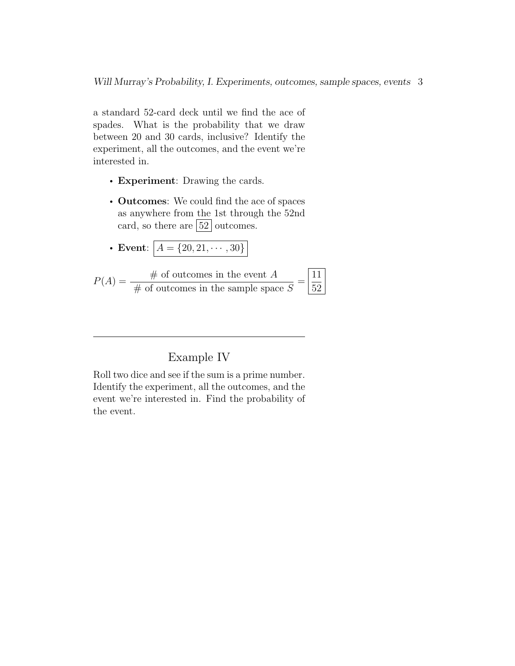a standard 52-card deck until we find the ace of spades. What is the probability that we draw between 20 and 30 cards, inclusive? Identify the experiment, all the outcomes, and the event we're interested in.

- Experiment: Drawing the cards.
- Outcomes: We could find the ace of spaces as anywhere from the 1st through the 52nd card, so there are  $\boxed{52}$  outcomes.
- Event:  $A = \{20, 21, \cdots, 30\}$

$$
P(A) = \frac{\text{\# of outcomes in the event } A}{\text{\# of outcomes in the sample space } S} = \boxed{\frac{11}{52}}
$$

# Example IV

Roll two dice and see if the sum is a prime number. Identify the experiment, all the outcomes, and the event we're interested in. Find the probability of the event.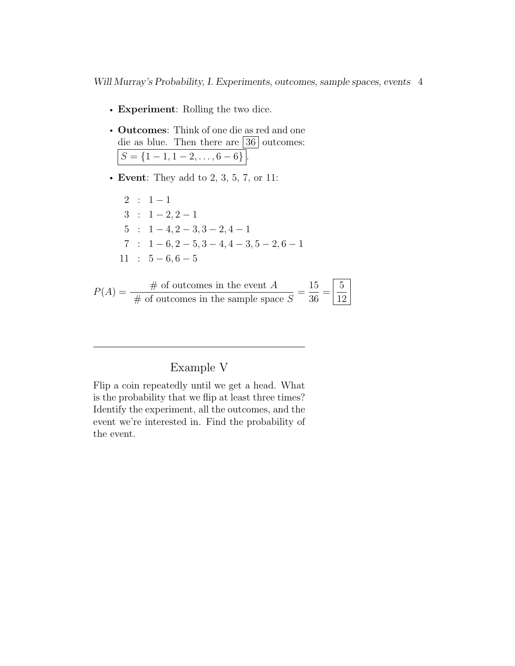- Experiment: Rolling the two dice.
- Outcomes: Think of one die as red and one die as blue. Then there are  $|36|$  outcomes:  $S = \{1-1, 1-2, \ldots, 6-6\}.$
- Event: They add to 2, 3, 5, 7, or 11:

 $2 : 1 - 1$  $3 : 1 - 2, 2 - 1$  $5$  :  $1 - 4, 2 - 3, 3 - 2, 4 - 1$  $7 : 1 - 6, 2 - 5, 3 - 4, 4 - 3, 5 - 2, 6 - 1$  $11 : 5 - 6, 6 - 5$ 

$$
P(A) = \frac{\text{\# of outcomes in the event } A}{\text{\# of outcomes in the sample space } S} = \frac{15}{36} = \boxed{\frac{5}{12}}
$$

# Example V

Flip a coin repeatedly until we get a head. What is the probability that we flip at least three times? Identify the experiment, all the outcomes, and the event we're interested in. Find the probability of the event.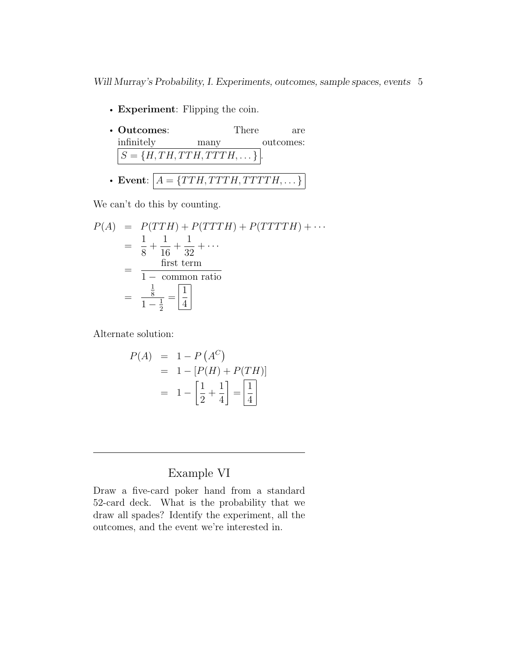- Experiment: Flipping the coin.
- Outcomes: There are infinitely many outcomes:  $S = \{H, TH, TTH, TTTH, \dots\}$ . • Event:  $A = \{TTH, TTTH, TTTTH, \dots\}$

We can't do this by counting.

$$
P(A) = P(TTH) + P(TTTTH) + P(TTTTH) + \cdots
$$
  
=  $\frac{1}{8} + \frac{1}{16} + \frac{1}{32} + \cdots$   
=  $\frac{\text{first term}}{1 - \text{ common ratio}}$   
=  $\frac{\frac{1}{8}}{1 - \frac{1}{2}} = \boxed{\frac{1}{4}}$ 

Alternate solution:

$$
P(A) = 1 - P(A^C)
$$
  
= 1 - [P(H) + P(TH)]  
= 1 - \left[\frac{1}{2} + \frac{1}{4}\right] = \left[\frac{1}{4}\right]

# Example VI

Draw a five-card poker hand from a standard 52-card deck. What is the probability that we draw all spades? Identify the experiment, all the outcomes, and the event we're interested in.